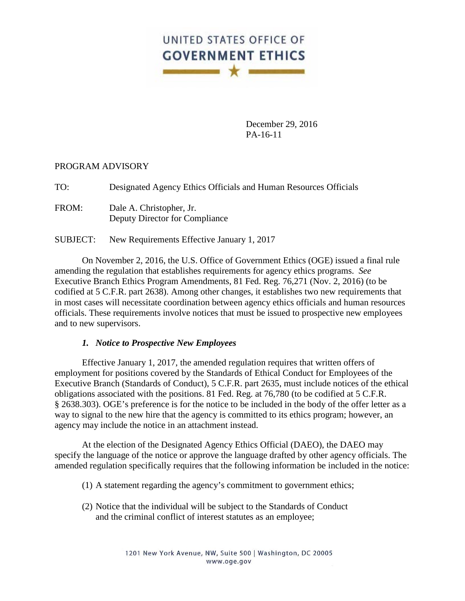

December 29, 2016 PA-16-11

## PROGRAM ADVISORY

TO: Designated Agency Ethics Officials and Human Resources Officials

FROM: Dale A. Christopher, Jr. Deputy Director for Compliance

SUBJECT: New Requirements Effective January 1, 2017

On November 2, 2016, the U.S. Office of Government Ethics (OGE) issued a final rule amending the regulation that establishes requirements for agency ethics programs. *See* Executive Branch Ethics Program Amendments, 81 Fed. Reg. 76,271 (Nov. 2, 2016) (to be codified at 5 C.F.R. part 2638). Among other changes, it establishes two new requirements that in most cases will necessitate coordination between agency ethics officials and human resources officials. These requirements involve notices that must be issued to prospective new employees and to new supervisors.

## *1. Notice to Prospective New Employees*

Effective January 1, 2017, the amended regulation requires that written offers of employment for positions covered by the Standards of Ethical Conduct for Employees of the Executive Branch (Standards of Conduct), 5 C.F.R. part 2635, must include notices of the ethical obligations associated with the positions. 81 Fed. Reg. at 76,780 (to be codified at 5 C.F.R. § 2638.303). OGE's preference is for the notice to be included in the body of the offer letter as a way to signal to the new hire that the agency is committed to its ethics program; however, an agency may include the notice in an attachment instead.

At the election of the Designated Agency Ethics Official (DAEO), the DAEO may specify the language of the notice or approve the language drafted by other agency officials. The amended regulation specifically requires that the following information be included in the notice:

- (1) A statement regarding the agency's commitment to government ethics;
- (2) Notice that the individual will be subject to the Standards of Conduct and the criminal conflict of interest statutes as an employee;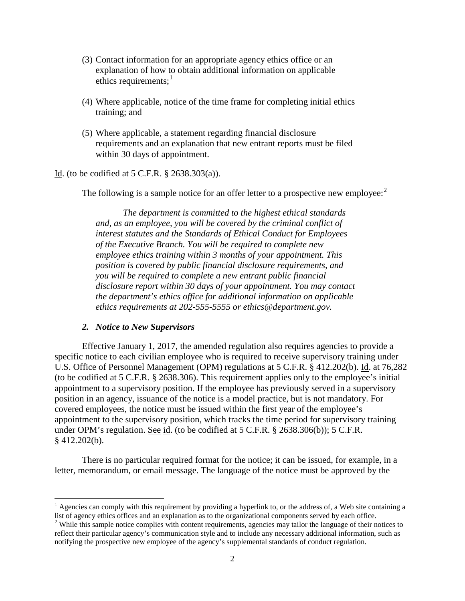- (3) Contact information for an appropriate agency ethics office or an explanation of how to obtain additional information on applicable ethics requirements; $<sup>1</sup>$  $<sup>1</sup>$  $<sup>1</sup>$ </sup>
- (4) Where applicable, notice of the time frame for completing initial ethics training; and
- (5) Where applicable, a statement regarding financial disclosure requirements and an explanation that new entrant reports must be filed within 30 days of appointment.

Id. (to be codified at 5 C.F.R. § 2638.303(a)).

The following is a sample notice for an offer letter to a prospective new employee:<sup>[2](#page-1-1)</sup>

*The department is committed to the highest ethical standards and, as an employee, you will be covered by the criminal conflict of interest statutes and the Standards of Ethical Conduct for Employees of the Executive Branch. You will be required to complete new employee ethics training within 3 months of your appointment. This position is covered by public financial disclosure requirements, and you will be required to complete a new entrant public financial disclosure report within 30 days of your appointment. You may contact the department's ethics office for additional information on applicable ethics requirements at 202-555-5555 or ethics@department.gov.*

## *2. Notice to New Supervisors*

Effective January 1, 2017, the amended regulation also requires agencies to provide a specific notice to each civilian employee who is required to receive supervisory training under U.S. Office of Personnel Management (OPM) regulations at 5 C.F.R. § 412.202(b). Id. at 76,282 (to be codified at 5 C.F.R. § 2638.306). This requirement applies only to the employee's initial appointment to a supervisory position. If the employee has previously served in a supervisory position in an agency, issuance of the notice is a model practice, but is not mandatory. For covered employees, the notice must be issued within the first year of the employee's appointment to the supervisory position, which tracks the time period for supervisory training under OPM's regulation. See id. (to be codified at 5 C.F.R. § 2638.306(b)); 5 C.F.R. § 412.202(b).

There is no particular required format for the notice; it can be issued, for example, in a letter, memorandum, or email message. The language of the notice must be approved by the

<span id="page-1-0"></span> $<sup>1</sup>$  Agencies can comply with this requirement by providing a hyperlink to, or the address of, a Web site containing a list of agency ethics offices and an explanation as to the organizational components served by ea</sup>

<span id="page-1-1"></span> $\degree$  While this sample notice complies with content requirements, agencies may tailor the language of their notices to reflect their particular agency's communication style and to include any necessary additional information, such as notifying the prospective new employee of the agency's supplemental standards of conduct regulation.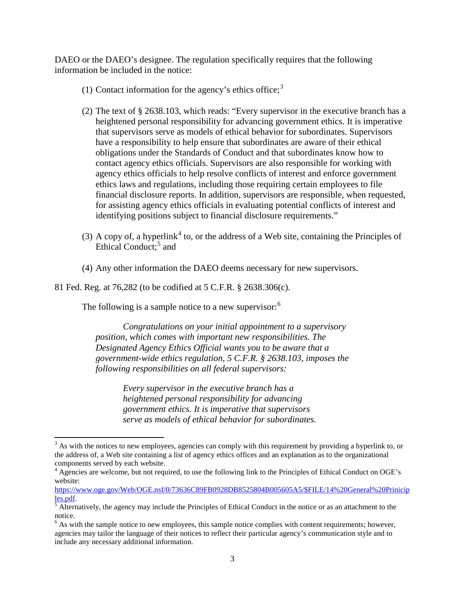DAEO or the DAEO's designee. The regulation specifically requires that the following information be included in the notice:

- (1) Contact information for the agency's ethics office; $3$
- (2) The text of § 2638.103, which reads: "Every supervisor in the executive branch has a heightened personal responsibility for advancing government ethics. It is imperative that supervisors serve as models of ethical behavior for subordinates. Supervisors have a responsibility to help ensure that subordinates are aware of their ethical obligations under the Standards of Conduct and that subordinates know how to contact agency ethics officials. Supervisors are also responsible for working with agency ethics officials to help resolve conflicts of interest and enforce government ethics laws and regulations, including those requiring certain employees to file financial disclosure reports. In addition, supervisors are responsible, when requested, for assisting agency ethics officials in evaluating potential conflicts of interest and identifying positions subject to financial disclosure requirements."
- (3) A copy of, a hyperlink<sup>[4](#page-2-1)</sup> to, or the address of a Web site, containing the Principles of Ethical Conduct;<sup>[5](#page-2-2)</sup> and
- (4) Any other information the DAEO deems necessary for new supervisors.

81 Fed. Reg. at 76,282 (to be codified at 5 C.F.R. § 2638.306(c).

The following is a sample notice to a new supervisor: $6$ 

*Congratulations on your initial appointment to a supervisory position, which comes with important new responsibilities. The Designated Agency Ethics Official wants you to be aware that a government-wide ethics regulation, 5 C.F.R. § 2638.103, imposes the following responsibilities on all federal supervisors:*

> *Every supervisor in the executive branch has a heightened personal responsibility for advancing government ethics. It is imperative that supervisors serve as models of ethical behavior for subordinates.*

<span id="page-2-0"></span> $3$  As with the notices to new employees, agencies can comply with this requirement by providing a hyperlink to, or the address of, a Web site containing a list of agency ethics offices and an explanation as to the organizational components served by each website.

<span id="page-2-1"></span> $4$  Agencies are welcome, but not required, to use the following link to the Principles of Ethical Conduct on OGE's website:

[https://www.oge.gov/Web/OGE.nsf/0/73636C89FB0928DB8525804B005605A5/\\$FILE/14%20General%20Prinicip](https://www.oge.gov/Web/OGE.nsf/0/73636C89FB0928DB8525804B005605A5/$FILE/14%20General%20Priniciples.pdf) <u>les.pdf</u>.<br><sup>[5](https://www.oge.gov/Web/OGE.nsf/0/73636C89FB0928DB8525804B005605A5/$FILE/14%20General%20Priniciples.pdf)</sup> Alternatively, the agency may include the Principles of Ethical Conduct in the notice or as an attachment to the

<span id="page-2-2"></span>notice.

<span id="page-2-3"></span><sup>&</sup>lt;sup>6</sup> As with the sample notice to new employees, this sample notice complies with content requirements; however, agencies may tailor the language of their notices to reflect their particular agency's communication style and to include any necessary additional information.